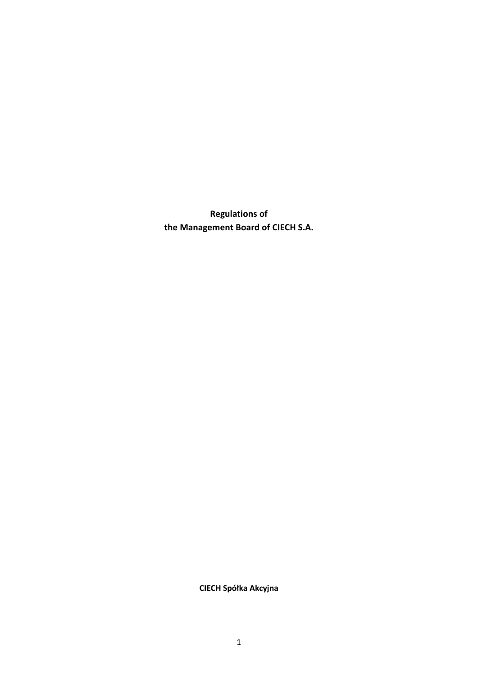**Regulations of the Management Board of CIECH S.A.**

**CIECH Spółka Akcyjna**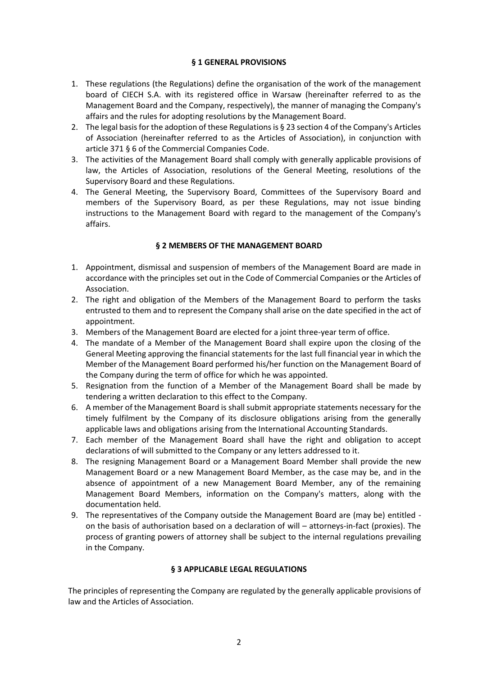# **§ 1 GENERAL PROVISIONS**

- 1. These regulations (the Regulations) define the organisation of the work of the management board of CIECH S.A. with its registered office in Warsaw (hereinafter referred to as the Management Board and the Company, respectively), the manner of managing the Company's affairs and the rules for adopting resolutions by the Management Board.
- 2. The legal basis for the adoption of these Regulations is § 23 section 4 of the Company's Articles of Association (hereinafter referred to as the Articles of Association), in conjunction with article 371 § 6 of the Commercial Companies Code.
- 3. The activities of the Management Board shall comply with generally applicable provisions of law, the Articles of Association, resolutions of the General Meeting, resolutions of the Supervisory Board and these Regulations.
- 4. The General Meeting, the Supervisory Board, Committees of the Supervisory Board and members of the Supervisory Board, as per these Regulations, may not issue binding instructions to the Management Board with regard to the management of the Company's affairs.

### **§ 2 MEMBERS OF THE MANAGEMENT BOARD**

- 1. Appointment, dismissal and suspension of members of the Management Board are made in accordance with the principles set out in the Code of Commercial Companies or the Articles of Association.
- 2. The right and obligation of the Members of the Management Board to perform the tasks entrusted to them and to represent the Company shall arise on the date specified in the act of appointment.
- 3. Members of the Management Board are elected for a joint three-year term of office.
- 4. The mandate of a Member of the Management Board shall expire upon the closing of the General Meeting approving the financial statements for the last full financial year in which the Member of the Management Board performed his/her function on the Management Board of the Company during the term of office for which he was appointed.
- 5. Resignation from the function of a Member of the Management Board shall be made by tendering a written declaration to this effect to the Company.
- 6. A member of the Management Board is shall submit appropriate statements necessary for the timely fulfilment by the Company of its disclosure obligations arising from the generally applicable laws and obligations arising from the International Accounting Standards.
- 7. Each member of the Management Board shall have the right and obligation to accept declarations of will submitted to the Company or any letters addressed to it.
- 8. The resigning Management Board or a Management Board Member shall provide the new Management Board or a new Management Board Member, as the case may be, and in the absence of appointment of a new Management Board Member, any of the remaining Management Board Members, information on the Company's matters, along with the documentation held.
- 9. The representatives of the Company outside the Management Board are (may be) entitled on the basis of authorisation based on a declaration of will – attorneys-in-fact (proxies). The process of granting powers of attorney shall be subject to the internal regulations prevailing in the Company.

#### **§ 3 APPLICABLE LEGAL REGULATIONS**

The principles of representing the Company are regulated by the generally applicable provisions of law and the Articles of Association.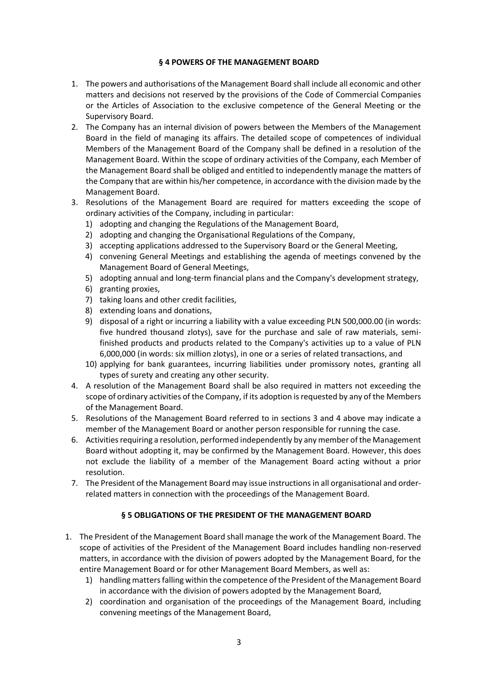### **§ 4 POWERS OF THE MANAGEMENT BOARD**

- 1. The powers and authorisations of the Management Board shall include all economic and other matters and decisions not reserved by the provisions of the Code of Commercial Companies or the Articles of Association to the exclusive competence of the General Meeting or the Supervisory Board.
- 2. The Company has an internal division of powers between the Members of the Management Board in the field of managing its affairs. The detailed scope of competences of individual Members of the Management Board of the Company shall be defined in a resolution of the Management Board. Within the scope of ordinary activities of the Company, each Member of the Management Board shall be obliged and entitled to independently manage the matters of the Company that are within his/her competence, in accordance with the division made by the Management Board.
- 3. Resolutions of the Management Board are required for matters exceeding the scope of ordinary activities of the Company, including in particular:
	- 1) adopting and changing the Regulations of the Management Board,
	- 2) adopting and changing the Organisational Regulations of the Company,
	- 3) accepting applications addressed to the Supervisory Board or the General Meeting,
	- 4) convening General Meetings and establishing the agenda of meetings convened by the Management Board of General Meetings,
	- 5) adopting annual and long-term financial plans and the Company's development strategy,
	- 6) granting proxies,
	- 7) taking loans and other credit facilities,
	- 8) extending loans and donations,
	- 9) disposal of a right or incurring a liability with a value exceeding PLN 500,000.00 (in words: five hundred thousand zlotys), save for the purchase and sale of raw materials, semifinished products and products related to the Company's activities up to a value of PLN 6,000,000 (in words: six million zlotys), in one or a series of related transactions, and
	- 10) applying for bank guarantees, incurring liabilities under promissory notes, granting all types of surety and creating any other security.
- 4. A resolution of the Management Board shall be also required in matters not exceeding the scope of ordinary activities of the Company, if its adoption is requested by any of the Members of the Management Board.
- 5. Resolutions of the Management Board referred to in sections 3 and 4 above may indicate a member of the Management Board or another person responsible for running the case.
- 6. Activities requiring a resolution, performed independently by any member of the Management Board without adopting it, may be confirmed by the Management Board. However, this does not exclude the liability of a member of the Management Board acting without a prior resolution.
- 7. The President of the Management Board may issue instructions in all organisational and orderrelated matters in connection with the proceedings of the Management Board.

# **§ 5 OBLIGATIONS OF THE PRESIDENT OF THE MANAGEMENT BOARD**

- 1. The President of the Management Board shall manage the work of the Management Board. The scope of activities of the President of the Management Board includes handling non-reserved matters, in accordance with the division of powers adopted by the Management Board, for the entire Management Board or for other Management Board Members, as well as:
	- 1) handling matters falling within the competence of the President of the Management Board in accordance with the division of powers adopted by the Management Board,
	- 2) coordination and organisation of the proceedings of the Management Board, including convening meetings of the Management Board,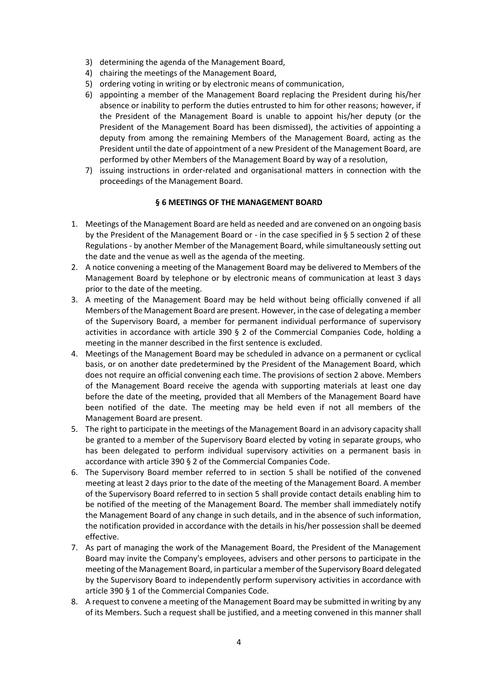- 3) determining the agenda of the Management Board,
- 4) chairing the meetings of the Management Board,
- 5) ordering voting in writing or by electronic means of communication,
- 6) appointing a member of the Management Board replacing the President during his/her absence or inability to perform the duties entrusted to him for other reasons; however, if the President of the Management Board is unable to appoint his/her deputy (or the President of the Management Board has been dismissed), the activities of appointing a deputy from among the remaining Members of the Management Board, acting as the President until the date of appointment of a new President of the Management Board, are performed by other Members of the Management Board by way of a resolution,
- 7) issuing instructions in order-related and organisational matters in connection with the proceedings of the Management Board.

#### **§ 6 MEETINGS OF THE MANAGEMENT BOARD**

- 1. Meetings of the Management Board are held as needed and are convened on an ongoing basis by the President of the Management Board or - in the case specified in § 5 section 2 of these Regulations - by another Member of the Management Board, while simultaneously setting out the date and the venue as well as the agenda of the meeting.
- 2. A notice convening a meeting of the Management Board may be delivered to Members of the Management Board by telephone or by electronic means of communication at least 3 days prior to the date of the meeting.
- 3. A meeting of the Management Board may be held without being officially convened if all Members of the Management Board are present. However, in the case of delegating a member of the Supervisory Board, a member for permanent individual performance of supervisory activities in accordance with article 390 § 2 of the Commercial Companies Code, holding a meeting in the manner described in the first sentence is excluded.
- 4. Meetings of the Management Board may be scheduled in advance on a permanent or cyclical basis, or on another date predetermined by the President of the Management Board, which does not require an official convening each time. The provisions of section 2 above. Members of the Management Board receive the agenda with supporting materials at least one day before the date of the meeting, provided that all Members of the Management Board have been notified of the date. The meeting may be held even if not all members of the Management Board are present.
- 5. The right to participate in the meetings of the Management Board in an advisory capacity shall be granted to a member of the Supervisory Board elected by voting in separate groups, who has been delegated to perform individual supervisory activities on a permanent basis in accordance with article 390 § 2 of the Commercial Companies Code.
- 6. The Supervisory Board member referred to in section 5 shall be notified of the convened meeting at least 2 days prior to the date of the meeting of the Management Board. A member of the Supervisory Board referred to in section 5 shall provide contact details enabling him to be notified of the meeting of the Management Board. The member shall immediately notify the Management Board of any change in such details, and in the absence of such information, the notification provided in accordance with the details in his/her possession shall be deemed effective.
- 7. As part of managing the work of the Management Board, the President of the Management Board may invite the Company's employees, advisers and other persons to participate in the meeting of the Management Board, in particular a member of the Supervisory Board delegated by the Supervisory Board to independently perform supervisory activities in accordance with article 390 § 1 of the Commercial Companies Code.
- 8. A request to convene a meeting of the Management Board may be submitted in writing by any of its Members. Such a request shall be justified, and a meeting convened in this manner shall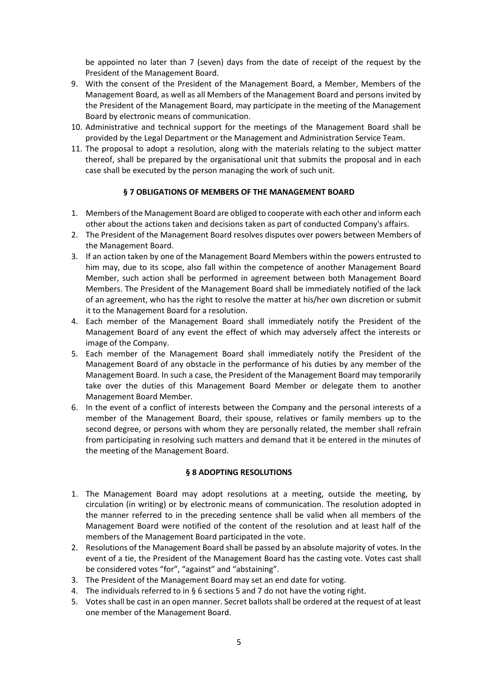be appointed no later than 7 (seven) days from the date of receipt of the request by the President of the Management Board.

- 9. With the consent of the President of the Management Board, a Member, Members of the Management Board, as well as all Members of the Management Board and persons invited by the President of the Management Board, may participate in the meeting of the Management Board by electronic means of communication.
- 10. Administrative and technical support for the meetings of the Management Board shall be provided by the Legal Department or the Management and Administration Service Team.
- 11. The proposal to adopt a resolution, along with the materials relating to the subject matter thereof, shall be prepared by the organisational unit that submits the proposal and in each case shall be executed by the person managing the work of such unit.

# **§ 7 OBLIGATIONS OF MEMBERS OF THE MANAGEMENT BOARD**

- 1. Members of the Management Board are obliged to cooperate with each other and inform each other about the actions taken and decisions taken as part of conducted Company's affairs.
- 2. The President of the Management Board resolves disputes over powers between Members of the Management Board.
- 3. If an action taken by one of the Management Board Members within the powers entrusted to him may, due to its scope, also fall within the competence of another Management Board Member, such action shall be performed in agreement between both Management Board Members. The President of the Management Board shall be immediately notified of the lack of an agreement, who has the right to resolve the matter at his/her own discretion or submit it to the Management Board for a resolution.
- 4. Each member of the Management Board shall immediately notify the President of the Management Board of any event the effect of which may adversely affect the interests or image of the Company.
- 5. Each member of the Management Board shall immediately notify the President of the Management Board of any obstacle in the performance of his duties by any member of the Management Board. In such a case, the President of the Management Board may temporarily take over the duties of this Management Board Member or delegate them to another Management Board Member.
- 6. In the event of a conflict of interests between the Company and the personal interests of a member of the Management Board, their spouse, relatives or family members up to the second degree, or persons with whom they are personally related, the member shall refrain from participating in resolving such matters and demand that it be entered in the minutes of the meeting of the Management Board.

#### **§ 8 ADOPTING RESOLUTIONS**

- 1. The Management Board may adopt resolutions at a meeting, outside the meeting, by circulation (in writing) or by electronic means of communication. The resolution adopted in the manner referred to in the preceding sentence shall be valid when all members of the Management Board were notified of the content of the resolution and at least half of the members of the Management Board participated in the vote.
- 2. Resolutions of the Management Board shall be passed by an absolute majority of votes. In the event of a tie, the President of the Management Board has the casting vote. Votes cast shall be considered votes "for", "against" and "abstaining".
- 3. The President of the Management Board may set an end date for voting.
- 4. The individuals referred to in § 6 sections 5 and 7 do not have the voting right.
- 5. Votes shall be cast in an open manner. Secret ballots shall be ordered at the request of at least one member of the Management Board.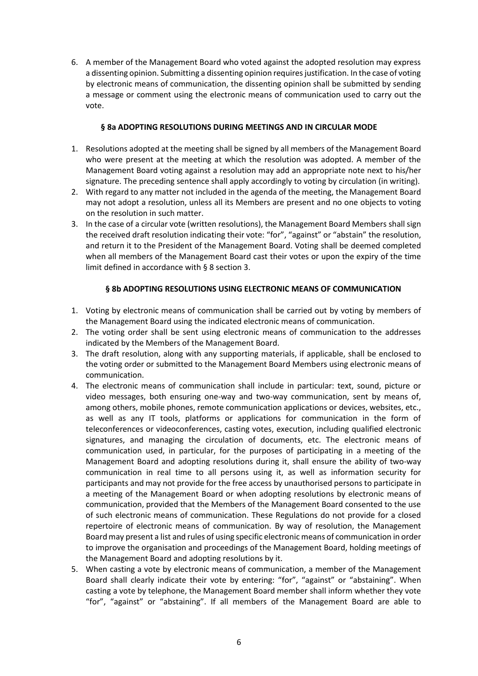6. A member of the Management Board who voted against the adopted resolution may express a dissenting opinion. Submitting a dissenting opinion requires justification. In the case of voting by electronic means of communication, the dissenting opinion shall be submitted by sending a message or comment using the electronic means of communication used to carry out the vote.

# **§ 8a ADOPTING RESOLUTIONS DURING MEETINGS AND IN CIRCULAR MODE**

- 1. Resolutions adopted at the meeting shall be signed by all members of the Management Board who were present at the meeting at which the resolution was adopted. A member of the Management Board voting against a resolution may add an appropriate note next to his/her signature. The preceding sentence shall apply accordingly to voting by circulation (in writing).
- 2. With regard to any matter not included in the agenda of the meeting, the Management Board may not adopt a resolution, unless all its Members are present and no one objects to voting on the resolution in such matter.
- 3. In the case of a circular vote (written resolutions), the Management Board Members shall sign the received draft resolution indicating their vote: "for", "against" or "abstain" the resolution, and return it to the President of the Management Board. Voting shall be deemed completed when all members of the Management Board cast their votes or upon the expiry of the time limit defined in accordance with § 8 section 3.

# **§ 8b ADOPTING RESOLUTIONS USING ELECTRONIC MEANS OF COMMUNICATION**

- 1. Voting by electronic means of communication shall be carried out by voting by members of the Management Board using the indicated electronic means of communication.
- 2. The voting order shall be sent using electronic means of communication to the addresses indicated by the Members of the Management Board.
- 3. The draft resolution, along with any supporting materials, if applicable, shall be enclosed to the voting order or submitted to the Management Board Members using electronic means of communication.
- 4. The electronic means of communication shall include in particular: text, sound, picture or video messages, both ensuring one-way and two-way communication, sent by means of, among others, mobile phones, remote communication applications or devices, websites, etc., as well as any IT tools, platforms or applications for communication in the form of teleconferences or videoconferences, casting votes, execution, including qualified electronic signatures, and managing the circulation of documents, etc. The electronic means of communication used, in particular, for the purposes of participating in a meeting of the Management Board and adopting resolutions during it, shall ensure the ability of two-way communication in real time to all persons using it, as well as information security for participants and may not provide for the free access by unauthorised persons to participate in a meeting of the Management Board or when adopting resolutions by electronic means of communication, provided that the Members of the Management Board consented to the use of such electronic means of communication. These Regulations do not provide for a closed repertoire of electronic means of communication. By way of resolution, the Management Board may present a list and rules of using specific electronic means of communication in order to improve the organisation and proceedings of the Management Board, holding meetings of the Management Board and adopting resolutions by it.
- 5. When casting a vote by electronic means of communication, a member of the Management Board shall clearly indicate their vote by entering: "for", "against" or "abstaining". When casting a vote by telephone, the Management Board member shall inform whether they vote "for", "against" or "abstaining". If all members of the Management Board are able to